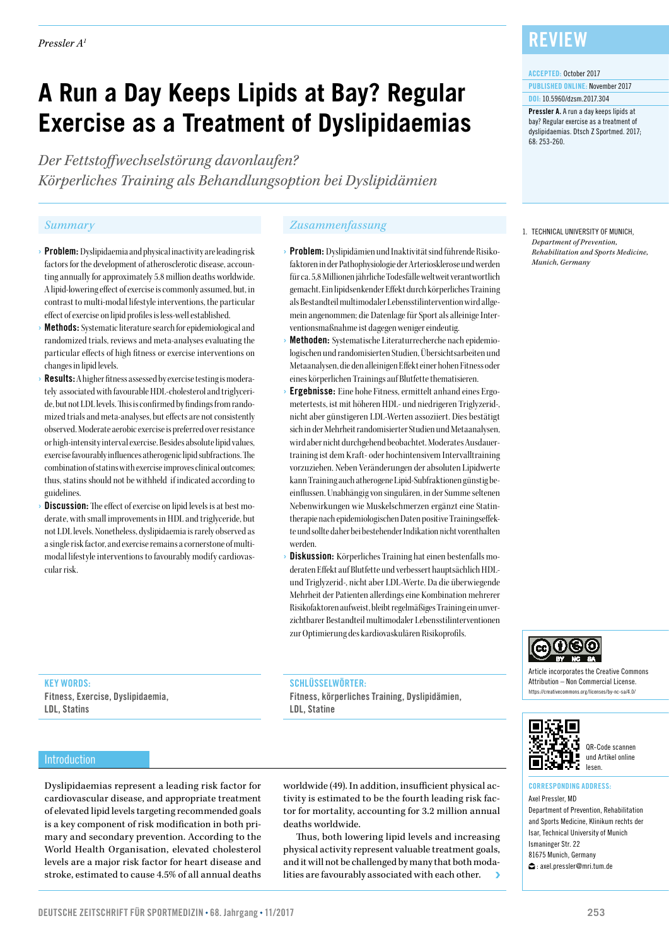# **A Run a Day Keeps Lipids at Bay? Regular Exercise as a Treatment of Dyslipidaemias**

*Der Fettstoffwechselstörung davonlaufen? Körperliches Training als Behandlungsoption bei Dyslipidämien*

- › Problem: Dyslipidaemia and physical inactivity are leading risk factors for the development of atherosclerotic disease, accounting annually for approximately 5.8 million deaths worldwide. A lipid-lowering effect of exercise is commonly assumed, but, in contrast to multi-modal lifestyle interventions, the particular effect of exercise on lipid profiles is less-well established.
- **Methods:** Systematic literature search for epidemiological and randomized trials, reviews and meta-analyses evaluating the particular effects of high fitness or exercise interventions on changes in lipid levels.
- **Results:** A higher fitness assessed by exercise testing is moderately associated with favourable HDL-cholesterol and triglyceride, but not LDL levels. This is confirmed by findings from randomized trials and meta-analyses, but effects are not consistently observed. Moderate aerobic exercise is preferred over resistance or high-intensity interval exercise. Besides absolute lipid values, exercise favourably influences atherogenic lipid subfractions. The combination of statins with exercise improves clinical outcomes; thus, statins should not be withheld if indicated according to guidelines.
- **Discussion:** The effect of exercise on lipid levels is at best moderate, with small improvements in HDL and triglyceride, but not LDL levels. Nonetheless, dyslipidaemia is rarely observed as a single risk factor, and exercise remains a cornerstone of multimodal lifestyle interventions to favourably modify cardiovascular risk.

#### *Summary Zusammenfassung*

- › Problem: Dyslipidämien und Inaktivität sind führende Risikofaktoren in der Pathophysiologie der Arteriosklerose und werden für ca. 5,8 Millionen jährliche Todesfälle weltweit verantwortlich gemacht. Ein lipidsenkender Effekt durch körperliches Training als Bestandteil multimodaler Lebensstilintervention wird allgemein angenommen; die Datenlage für Sport als alleinige Interventionsmaßnahme ist dagegen weniger eindeutig.
- Methoden: Systematische Literaturrecherche nach epidemiologischen und randomisierten Studien, Übersichtsarbeiten und Metaanalysen, die den alleinigen Effekt einer hohen Fitness oder eines körperlichen Trainings auf Blutfette thematisieren.
- › Ergebnisse: Eine hohe Fitness, ermittelt anhand eines Ergometertests, ist mit höheren HDL- und niedrigeren Triglyzerid-, nicht aber günstigeren LDL-Werten assoziiert. Dies bestätigt sich in der Mehrheit randomisierter Studien und Metaanalysen, wird aber nicht durchgehend beobachtet. Moderates Ausdauertraining ist dem Kraft- oder hochintensivem Intervalltraining vorzuziehen. Neben Veränderungen der absoluten Lipidwerte kann Training auch atherogene Lipid-Subfraktionen günstig beeinflussen. Unabhängig von singulären, in der Summe seltenen Nebenwirkungen wie Muskelschmerzen ergänzt eine Statintherapie nach epidemiologischen Daten positive Trainingseffekte und sollte daher bei bestehender Indikation nicht vorenthalten werden.
- Diskussion: Körperliches Training hat einen bestenfalls moderaten Effekt auf Blutfette und verbessert hauptsächlich HDLund Triglyzerid-, nicht aber LDL-Werte. Da die überwiegende Mehrheit der Patienten allerdings eine Kombination mehrerer Risikofaktoren aufweist, bleibt regelmäßiges Training ein unverzichtbarer Bestandteil multimodaler Lebensstilinterventionen zur Optimierung des kardiovaskulären Risikoprofils.

#### SCHLÜSSELWÖRTER:

Fitness, körperliches Training, Dyslipidämien, LDL, Statine

### **REVIEW**

#### ACCEPTED: October 2017

68: 253-260.

PUBLISHED ONLINE: November 2017 DOI: 10.5960/dzsm.2017.304

Pressler A. A run a day keeps lipids at bay? Regular exercise as a treatment of dyslipidaemias. Dtsch Z Sportmed. 2017;

1. TECHNICAL UNIVERSITY OF MUNICH, *Department of Prevention, Rehabilitation and Sports Medicine, Munich, Germany*



Article incorporates the Creative Commons Attribution – Non Commercial License. https://creativecommons.org/licenses/by-nc-sa/4.0/



QR-Code scannen und Artikel online lesen.

### CORRESPONDING ADDRESS:

Axel Pressler, MD Department of Prevention, Rehabilitation and Sports Medicine, Klinikum rechts der Isar, Technical University of Munich Ismaninger Str. 22 81675 Munich, Germany : axel.pressler@mri.tum.de

## LDL, Statins

Fitness, Exercise, Dyslipidaemia,

KEY WORDS:

#### Introduction

Dyslipidaemias represent a leading risk factor for cardiovascular disease, and appropriate treatment of elevated lipid levels targeting recommended goals is a key component of risk modification in both primary and secondary prevention. According to the World Health Organisation, elevated cholesterol levels are a major risk factor for heart disease and stroke, estimated to cause 4.5% of all annual deaths

worldwide (49). In addition, insufficient physical activity is estimated to be the fourth leading risk factor for mortality, accounting for 3.2 million annual deaths worldwide.

Thus, both lowering lipid levels and increasing physical activity represent valuable treatment goals, and it will not be challenged by many that both modalities are favourably associated with each other.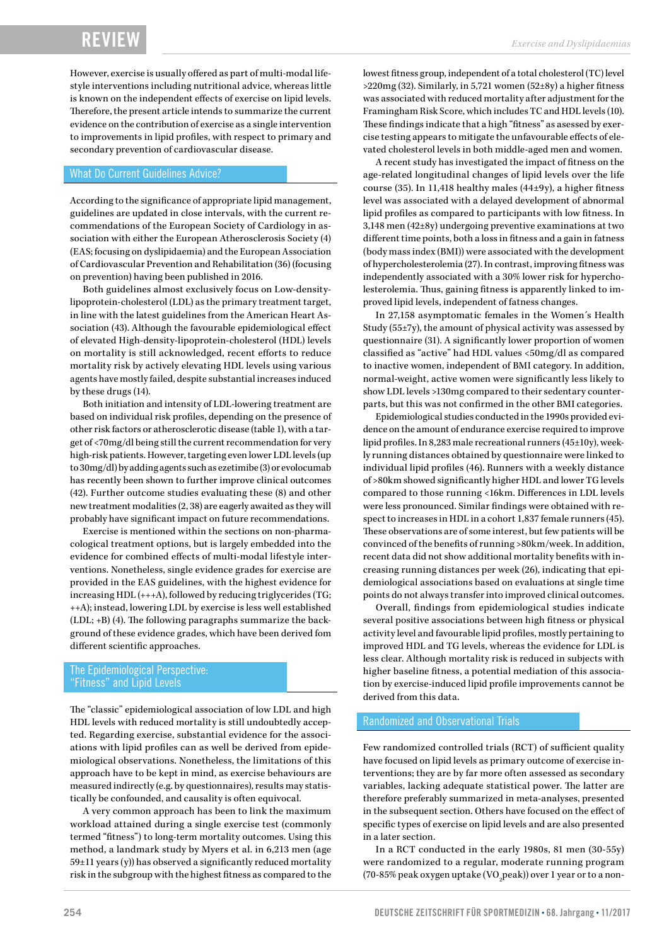However, exercise is usually offered as part of multi-modal lifestyle interventions including nutritional advice, whereas little is known on the independent effects of exercise on lipid levels. Therefore, the present article intends to summarize the current evidence on the contribution of exercise as a single intervention to improvements in lipid profiles, with respect to primary and secondary prevention of cardiovascular disease.

#### What Do Current Guidelines Advice?

According to the significance of appropriate lipid management, guidelines are updated in close intervals, with the current recommendations of the European Society of Cardiology in association with either the European Atherosclerosis Society (4) (EAS; focusing on dyslipidaemia) and the European Association of Cardiovascular Prevention and Rehabilitation (36) (focusing on prevention) having been published in 2016.

Both guidelines almost exclusively focus on Low-densitylipoprotein-cholesterol (LDL) as the primary treatment target, in line with the latest guidelines from the American Heart Association (43). Although the favourable epidemiological effect of elevated High-density-lipoprotein-cholesterol (HDL) levels on mortality is still acknowledged, recent efforts to reduce mortality risk by actively elevating HDL levels using various agents have mostly failed, despite substantial increases induced by these drugs (14).

Both initiation and intensity of LDL-lowering treatment are based on individual risk profiles, depending on the presence of other risk factors or atherosclerotic disease (table 1), with a target of <70mg/dl being still the current recommendation for very high-risk patients. However, targeting even lower LDL levels (up to 30mg/dl) by adding agents such as ezetimibe (3) or evolocumab has recently been shown to further improve clinical outcomes (42). Further outcome studies evaluating these (8) and other new treatment modalities (2, 38) are eagerly awaited as they will probably have significant impact on future recommendations.

Exercise is mentioned within the sections on non-pharmacological treatment options, but is largely embedded into the evidence for combined effects of multi-modal lifestyle interventions. Nonetheless, single evidence grades for exercise are provided in the EAS guidelines, with the highest evidence for increasing HDL (+++A), followed by reducing triglycerides (TG; ++A); instead, lowering LDL by exercise is less well established (LDL; +B) (4). The following paragraphs summarize the background of these evidence grades, which have been derived fom different scientific approaches.

#### The Epidemiological Perspective: "Fitness" and Lipid Levels

The "classic" epidemiological association of low LDL and high HDL levels with reduced mortality is still undoubtedly accepted. Regarding exercise, substantial evidence for the associations with lipid profiles can as well be derived from epidemiological observations. Nonetheless, the limitations of this approach have to be kept in mind, as exercise behaviours are measured indirectly (e.g. by questionnaires), results may statistically be confounded, and causality is often equivocal.

A very common approach has been to link the maximum workload attained during a single exercise test (commonly termed "fitness") to long-term mortality outcomes. Using this method, a landmark study by Myers et al. in 6,213 men (age 59±11 years (y)) has observed a significantly reduced mortality risk in the subgroup with the highest fitness as compared to the lowest fitness group, independent of a total cholesterol (TC) level >220mg (32). Similarly, in 5,721 women (52±8y) a higher fitness was associated with reduced mortality after adjustment for the Framingham Risk Score, which includes TC and HDL levels (10). These findings indicate that a high "fitness" as asessed by exercise testing appears to mitigate the unfavourable effects of elevated cholesterol levels in both middle-aged men and women.

A recent study has investigated the impact of fitness on the age-related longitudinal changes of lipid levels over the life course (35). In 11,418 healthy males (44±9y), a higher fitness level was associated with a delayed development of abnormal lipid profiles as compared to participants with low fitness. In 3,148 men (42±8y) undergoing preventive examinations at two different time points, both a loss in fitness and a gain in fatness (body mass index (BMI)) were associated with the development of hypercholesterolemia (27). In contrast, improving fitness was independently associated with a 30% lower risk for hypercholesterolemia. Thus, gaining fitness is apparently linked to improved lipid levels, independent of fatness changes.

In 27,158 asymptomatic females in the Women´s Health Study (55±7y), the amount of physical activity was assessed by questionnaire (31). A significantly lower proportion of women classified as "active" had HDL values <50mg/dl as compared to inactive women, independent of BMI category. In addition, normal-weight, active women were significantly less likely to show LDL levels >130mg compared to their sedentary counterparts, but this was not confirmed in the other BMI categories.

Epidemiological studies conducted in the 1990s provided evidence on the amount of endurance exercise required to improve lipid profiles. In 8,283 male recreational runners (45±10y), weekly running distances obtained by questionnaire were linked to individual lipid profiles (46). Runners with a weekly distance of >80km showed significantly higher HDL and lower TG levels compared to those running <16km. Differences in LDL levels were less pronounced. Similar findings were obtained with respect to increases in HDL in a cohort 1,837 female runners (45). These observations are of some interest, but few patients will be convinced of the benefits of running >80km/week. In addition, recent data did not show additional mortality benefits with increasing running distances per week (26), indicating that epidemiological associations based on evaluations at single time points do not always transfer into improved clinical outcomes.

Overall, findings from epidemiological studies indicate several positive associations between high fitness or physical activity level and favourable lipid profiles, mostly pertaining to improved HDL and TG levels, whereas the evidence for LDL is less clear. Although mortality risk is reduced in subjects with higher baseline fitness, a potential mediation of this association by exercise-induced lipid profile improvements cannot be derived from this data.

#### Randomized and Observational Trials

Few randomized controlled trials (RCT) of sufficient quality have focused on lipid levels as primary outcome of exercise interventions; they are by far more often assessed as secondary variables, lacking adequate statistical power. The latter are therefore preferably summarized in meta-analyses, presented in the subsequent section. Others have focused on the effect of specific types of exercise on lipid levels and are also presented in a later section.

In a RCT conducted in the early 1980s, 81 men (30-55y) were randomized to a regular, moderate running program (70-85% peak oxygen uptake (VO<sub>2</sub>peak)) over 1 year or to a non-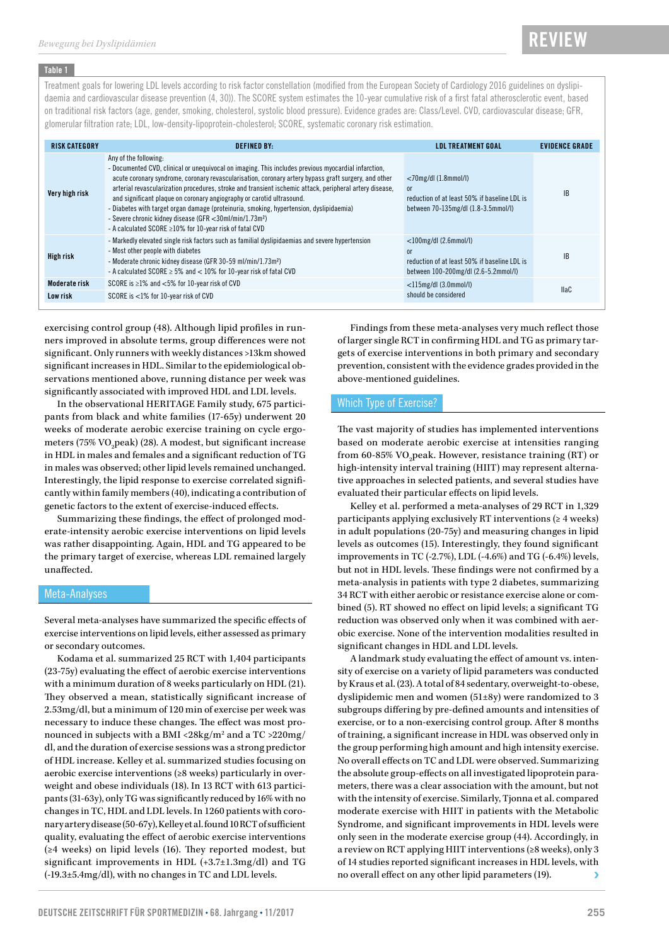#### Table 1

Treatment goals for lowering LDL levels according to risk factor constellation (modified from the European Society of Cardiology 2016 guidelines on dyslipidaemia and cardiovascular disease prevention (4, 30)). The SCORE system estimates the 10-year cumulative risk of a first fatal atherosclerotic event, based on traditional risk factors (age, gender, smoking, cholesterol, systolic blood pressure). Evidence grades are: Class/Level. CVD, cardiovascular disease; GFR, glomerular filtration rate; LDL, low-density-lipoprotein-cholesterol; SCORE, systematic coronary risk estimation.

| <b>RISK CATEGORY</b> | <b>DEFINED BY:</b>                                                                                                                                                                                                                                                                                                                                                                                                                                                                                                                                                                                                                                     | <b>LDL TREATMENT GOAL</b>                                                                                              | <b>EVIDENCE GRADE</b> |
|----------------------|--------------------------------------------------------------------------------------------------------------------------------------------------------------------------------------------------------------------------------------------------------------------------------------------------------------------------------------------------------------------------------------------------------------------------------------------------------------------------------------------------------------------------------------------------------------------------------------------------------------------------------------------------------|------------------------------------------------------------------------------------------------------------------------|-----------------------|
| Very high risk       | Any of the following:<br>- Documented CVD, clinical or unequivocal on imaging. This includes previous myocardial infarction,<br>acute coronary syndrome, coronary revascularisation, coronary artery bypass graft surgery, and other<br>arterial revascularization procedures, stroke and transient ischemic attack, peripheral artery disease,<br>and significant plaque on coronary angiography or carotid ultrasound.<br>- Diabetes with target organ damage (proteinuria, smoking, hypertension, dyslipidaemia)<br>- Severe chronic kidney disease (GFR < 30ml/min/1.73m <sup>2</sup> )<br>- A calculated SCORE ≥10% for 10-year risk of fatal CVD | $<$ 70mg/dl (1.8mmol/l)<br>or<br>reduction of at least 50% if baseline LDL is<br>between 70-135mg/dl (1.8-3.5mmol/l)   | IB                    |
| High risk            | - Markedly elevated single risk factors such as familial dyslipidaemias and severe hypertension<br>- Most other people with diabetes<br>- Moderate chronic kidney disease (GFR 30-59 ml/min/1.73m <sup>2</sup> )<br>- A calculated SCORE $\geq$ 5% and $<$ 10% for 10-year risk of fatal CVD                                                                                                                                                                                                                                                                                                                                                           | $<$ 100mg/dl (2.6mmol/l)<br>0r<br>reduction of at least 50% if baseline LDL is<br>between 100-200mg/dl (2.6-5.2mmol/l) | <b>IB</b>             |
| Moderate risk        | SCORE is $\geq$ 1% and <5% for 10-year risk of CVD                                                                                                                                                                                                                                                                                                                                                                                                                                                                                                                                                                                                     | $<$ 115mg/dl (3.0mmol/l)                                                                                               | <b>IlaC</b>           |
| Low risk             | SCORE is <1% for 10-year risk of CVD                                                                                                                                                                                                                                                                                                                                                                                                                                                                                                                                                                                                                   | should be considered                                                                                                   |                       |

exercising control group (48). Although lipid profiles in runners improved in absolute terms, group differences were not significant. Only runners with weekly distances >13km showed significant increases in HDL. Similar to the epidemiological observations mentioned above, running distance per week was significantly associated with improved HDL and LDL levels.

In the observational HERITAGE Family study, 675 participants from black and white families (17-65y) underwent 20 weeks of moderate aerobic exercise training on cycle ergometers (75% VO $_{\textrm{\tiny{2}}}$ peak) (28). A modest, but significant increase in HDL in males and females and a significant reduction of TG in males was observed; other lipid levels remained unchanged. Interestingly, the lipid response to exercise correlated significantly within family members (40), indicating a contribution of genetic factors to the extent of exercise-induced effects.

Summarizing these findings, the effect of prolonged moderate-intensity aerobic exercise interventions on lipid levels was rather disappointing. Again, HDL and TG appeared to be the primary target of exercise, whereas LDL remained largely unaffected.

#### Meta-Analyses

Several meta-analyses have summarized the specific effects of exercise interventions on lipid levels, either assessed as primary or secondary outcomes.

Kodama et al. summarized 25 RCT with 1,404 participants (23-75y) evaluating the effect of aerobic exercise interventions with a minimum duration of 8 weeks particularly on HDL (21). They observed a mean, statistically significant increase of 2.53mg/dl, but a minimum of 120 min of exercise per week was necessary to induce these changes. The effect was most pronounced in subjects with a BMI <28kg/m $^{\rm 2}$  and a TC >220mg/ dl, and the duration of exercise sessions was a strong predictor of HDL increase. Kelley et al. summarized studies focusing on aerobic exercise interventions (≥8 weeks) particularly in overweight and obese individuals (18). In 13 RCT with 613 participants (31-63y), only TG was significantly reduced by 16% with no changes in TC, HDL and LDL levels. In 1260 patients with coronary artery disease (50-67y), Kelley et al. found 10 RCT of sufficient quality, evaluating the effect of aerobic exercise interventions (≥4 weeks) on lipid levels (16). They reported modest, but significant improvements in HDL (+3.7±1.3mg/dl) and TG (-19.3±5.4mg/dl), with no changes in TC and LDL levels.

Findings from these meta-analyses very much reflect those of larger single RCT in confirming HDL and TG as primary targets of exercise interventions in both primary and secondary prevention, consistent with the evidence grades provided in the above-mentioned guidelines.

#### Which Type of Exercise?

The vast majority of studies has implemented interventions based on moderate aerobic exercise at intensities ranging from 60-85% VO<sub>2</sub>peak. However, resistance training (RT) or high-intensity interval training (HIIT) may represent alternative approaches in selected patients, and several studies have evaluated their particular effects on lipid levels.

Kelley et al. performed a meta-analyses of 29 RCT in 1,329 participants applying exclusively RT interventions (≥ 4 weeks) in adult populations (20-75y) and measuring changes in lipid levels as outcomes (15). Interestingly, they found significant improvements in TC (-2.7%), LDL (-4.6%) and TG (-6.4%) levels, but not in HDL levels. These findings were not confirmed by a meta-analysis in patients with type 2 diabetes, summarizing 34 RCT with either aerobic or resistance exercise alone or combined (5). RT showed no effect on lipid levels; a significant TG reduction was observed only when it was combined with aerobic exercise. None of the intervention modalities resulted in significant changes in HDL and LDL levels.

A landmark study evaluating the effect of amount vs. intensity of exercise on a variety of lipid parameters was conducted by Kraus et al. (23). A total of 84 sedentary, overweight-to-obese, dyslipidemic men and women (51±8y) were randomized to 3 subgroups differing by pre-defined amounts and intensities of exercise, or to a non-exercising control group. After 8 months of training, a significant increase in HDL was observed only in the group performing high amount and high intensity exercise. No overall effects on TC and LDL were observed. Summarizing the absolute group-effects on all investigated lipoprotein parameters, there was a clear association with the amount, but not with the intensity of exercise. Similarly, Tjonna et al. compared moderate exercise with HIIT in patients with the Metabolic Syndrome, and significant improvements in HDL levels were only seen in the moderate exercise group (44). Accordingly, in a review on RCT applying HIIT interventions (≥8 weeks), only 3 of 14 studies reported significant increases in HDL levels, with no overall effect on any other lipid parameters (19).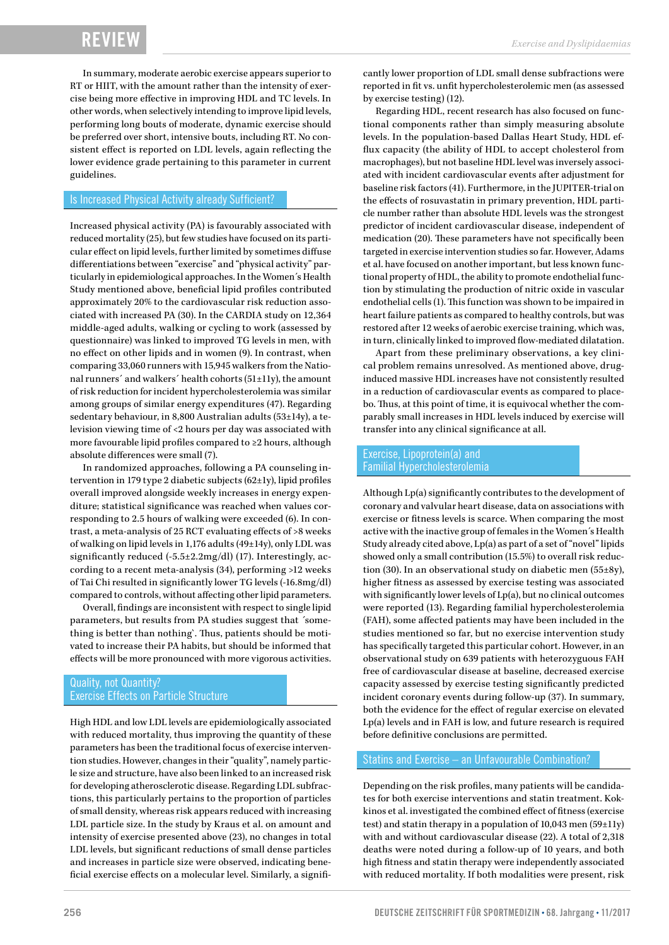In summary, moderate aerobic exercise appears superior to RT or HIIT, with the amount rather than the intensity of exercise being more effective in improving HDL and TC levels. In other words, when selectively intending to improve lipid levels, performing long bouts of moderate, dynamic exercise should be preferred over short, intensive bouts, including RT. No consistent effect is reported on LDL levels, again reflecting the lower evidence grade pertaining to this parameter in current guidelines.

#### Is Increased Physical Activity already Sufficient?

Increased physical activity (PA) is favourably associated with reduced mortality (25), but few studies have focused on its particular effect on lipid levels, further limited by sometimes diffuse differentiations between "exercise" and "physical activity" particularly in epidemiological approaches. In the Women´s Health Study mentioned above, beneficial lipid profiles contributed approximately 20% to the cardiovascular risk reduction associated with increased PA (30). In the CARDIA study on 12,364 middle-aged adults, walking or cycling to work (assessed by questionnaire) was linked to improved TG levels in men, with no effect on other lipids and in women (9). In contrast, when comparing 33,060 runners with 15,945 walkers from the National runners´ and walkers´ health cohorts (51±11y), the amount of risk reduction for incident hypercholesterolemia was similar among groups of similar energy expenditures (47). Regarding sedentary behaviour, in 8,800 Australian adults (53±14y), a television viewing time of <2 hours per day was associated with more favourable lipid profiles compared to ≥2 hours, although absolute differences were small (7).

In randomized approaches, following a PA counseling intervention in 179 type 2 diabetic subjects (62±1y), lipid profiles overall improved alongside weekly increases in energy expenditure; statistical significance was reached when values corresponding to 2.5 hours of walking were exceeded (6). In contrast, a meta-analysis of 25 RCT evaluating effects of >8 weeks of walking on lipid levels in 1,176 adults (49±14y), only LDL was significantly reduced (-5.5±2.2mg/dl) (17). Interestingly, according to a recent meta-analysis (34), performing >12 weeks of Tai Chi resulted in significantly lower TG levels (-16.8mg/dl) compared to controls, without affecting other lipid parameters.

Overall, findings are inconsistent with respect to single lipid parameters, but results from PA studies suggest that ´something is better than nothing`. Thus, patients should be motivated to increase their PA habits, but should be informed that effects will be more pronounced with more vigorous activities.

#### Quality, not Quantity? Exercise Effects on Particle Structure

High HDL and low LDL levels are epidemiologically associated with reduced mortality, thus improving the quantity of these parameters has been the traditional focus of exercise intervention studies. However, changes in their "quality", namely particle size and structure, have also been linked to an increased risk for developing atherosclerotic disease. Regarding LDL subfractions, this particularly pertains to the proportion of particles of small density, whereas risk appears reduced with increasing LDL particle size. In the study by Kraus et al. on amount and intensity of exercise presented above (23), no changes in total LDL levels, but significant reductions of small dense particles and increases in particle size were observed, indicating beneficial exercise effects on a molecular level. Similarly, a significantly lower proportion of LDL small dense subfractions were reported in fit vs. unfit hypercholesterolemic men (as assessed by exercise testing) (12).

Regarding HDL, recent research has also focused on functional components rather than simply measuring absolute levels. In the population-based Dallas Heart Study, HDL efflux capacity (the ability of HDL to accept cholesterol from macrophages), but not baseline HDL level was inversely associated with incident cardiovascular events after adjustment for baseline risk factors (41). Furthermore, in the JUPITER-trial on the effects of rosuvastatin in primary prevention, HDL particle number rather than absolute HDL levels was the strongest predictor of incident cardiovascular disease, independent of medication (20). These parameters have not specifically been targeted in exercise intervention studies so far. However, Adams et al. have focused on another important, but less known functional property of HDL, the ability to promote endothelial function by stimulating the production of nitric oxide in vascular endothelial cells (1). This function was shown to be impaired in heart failure patients as compared to healthy controls, but was restored after 12 weeks of aerobic exercise training, which was, in turn, clinically linked to improved flow-mediated dilatation.

Apart from these preliminary observations, a key clinical problem remains unresolved. As mentioned above, druginduced massive HDL increases have not consistently resulted in a reduction of cardiovascular events as compared to placebo. Thus, at this point of time, it is equivocal whether the comparably small increases in HDL levels induced by exercise will transfer into any clinical significance at all.

#### Exercise, Lipoprotein(a) and Familial Hypercholesterolemia

Although Lp(a) significantly contributes to the development of coronary and valvular heart disease, data on associations with exercise or fitness levels is scarce. When comparing the most active with the inactive group of females in the Women´s Health Study already cited above, Lp(a) as part of a set of "novel" lipids showed only a small contribution (15.5%) to overall risk reduction (30). In an observational study on diabetic men (55±8y), higher fitness as assessed by exercise testing was associated with significantly lower levels of Lp(a), but no clinical outcomes were reported (13). Regarding familial hypercholesterolemia (FAH), some affected patients may have been included in the studies mentioned so far, but no exercise intervention study has specifically targeted this particular cohort. However, in an observational study on 639 patients with heterozyguous FAH free of cardiovascular disease at baseline, decreased exercise capacity assessed by exercise testing significantly predicted incident coronary events during follow-up (37). In summary, both the evidence for the effect of regular exercise on elevated Lp(a) levels and in FAH is low, and future research is required before definitive conclusions are permitted.

#### Statins and Exercise – an Unfavourable Combination?

Depending on the risk profiles, many patients will be candidates for both exercise interventions and statin treatment. Kokkinos et al. investigated the combined effect of fitness (exercise test) and statin therapy in a population of 10,043 men (59±11y) with and without cardiovascular disease (22). A total of 2,318 deaths were noted during a follow-up of 10 years, and both high fitness and statin therapy were independently associated with reduced mortality. If both modalities were present, risk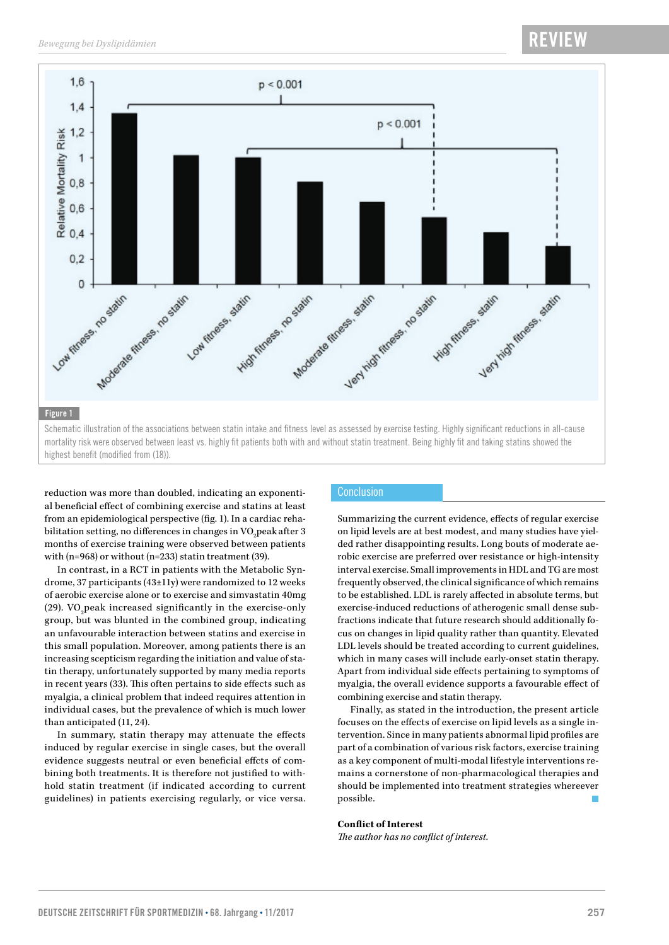

reduction was more than doubled, indicating an exponential beneficial effect of combining exercise and statins at least from an epidemiological perspective (fig. 1). In a cardiac rehabilitation setting, no differences in changes in VO<sub>2</sub>peak after 3 months of exercise training were observed between patients with (n=968) or without (n=233) statin treatment (39).

In contrast, in a RCT in patients with the Metabolic Syndrome, 37 participants (43±11y) were randomized to 12 weeks of aerobic exercise alone or to exercise and simvastatin 40mg (29). VO<sub>2</sub> peak increased significantly in the exercise-only group, but was blunted in the combined group, indicating an unfavourable interaction between statins and exercise in this small population. Moreover, among patients there is an increasing scepticism regarding the initiation and value of statin therapy, unfortunately supported by many media reports in recent years (33). This often pertains to side effects such as myalgia, a clinical problem that indeed requires attention in individual cases, but the prevalence of which is much lower than anticipated (11, 24).

In summary, statin therapy may attenuate the effects induced by regular exercise in single cases, but the overall evidence suggests neutral or even beneficial effcts of combining both treatments. It is therefore not justified to withhold statin treatment (if indicated according to current guidelines) in patients exercising regularly, or vice versa.

#### **Conclusion**

Summarizing the current evidence, effects of regular exercise on lipid levels are at best modest, and many studies have yielded rather disappointing results. Long bouts of moderate aerobic exercise are preferred over resistance or high-intensity interval exercise. Small improvements in HDL and TG are most frequently observed, the clinical significance of which remains to be established. LDL is rarely affected in absolute terms, but exercise-induced reductions of atherogenic small dense subfractions indicate that future research should additionally focus on changes in lipid quality rather than quantity. Elevated LDL levels should be treated according to current guidelines, which in many cases will include early-onset statin therapy. Apart from individual side effects pertaining to symptoms of myalgia, the overall evidence supports a favourable effect of combining exercise and statin therapy.

Finally, as stated in the introduction, the present article focuses on the effects of exercise on lipid levels as a single intervention. Since in many patients abnormal lipid profiles are part of a combination of various risk factors, exercise training as a key component of multi-modal lifestyle interventions remains a cornerstone of non-pharmacological therapies and should be implemented into treatment strategies whereever possible.

#### **Conflict of Interest**

*The author has no conflict of interest.*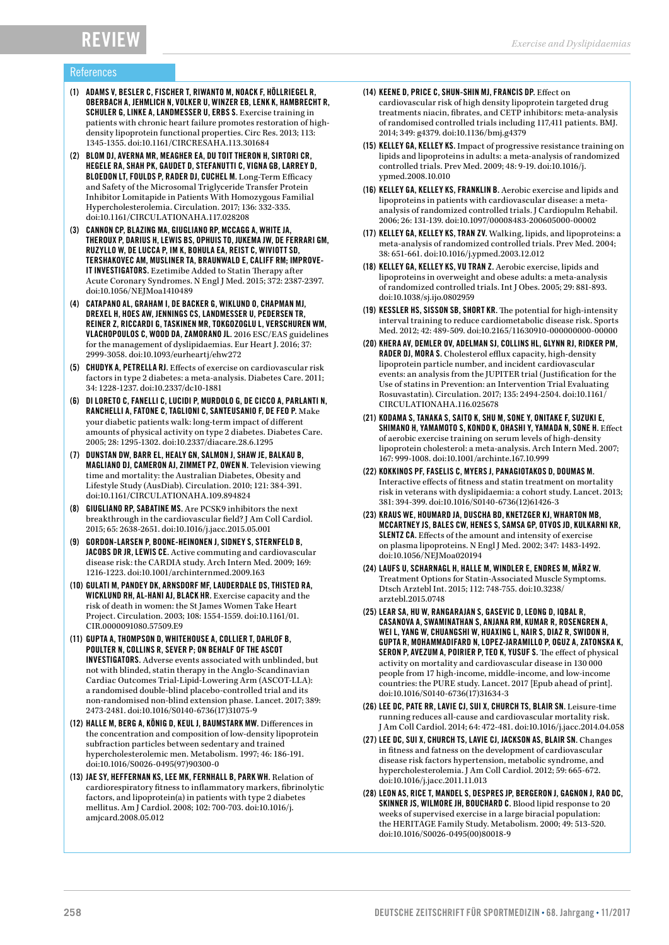### Review

#### References

- (1) ADAMS V, BESLER C, FISCHER T, RIWANTO M, NOACK F, HÖLLRIEGEL R, OBERBACH A, JEHMLICH N, VOLKER U, WINZER EB, LENK K, HAMBRECHT R, SCHULER G, LINKE A, LANDMESSER U, ERBS S. Exercise training in patients with chronic heart failure promotes restoration of highdensity lipoprotein functional properties. Circ Res. 2013; 113: 1345-1355. doi:10.1161/CIRCRESAHA.113.301684
- (2) BLOM DJ, AVERNA MR, MEAGHER EA, DU TOIT THERON H, SIRTORI CR, HEGELE RA, SHAH PK, GAUDET D, STEFANUTTI C, VIGNA GB, LARREY D, BLOEDON LT, FOULDS P, RADER DJ, CUCHEL M. Long-Term Efficacy and Safety of the Microsomal Triglyceride Transfer Protein Inhibitor Lomitapide in Patients With Homozygous Familial Hypercholesterolemia. Circulation. 2017; 136: 332-335. doi:10.1161/CIRCULATIONAHA.117.028208
- (3) CANNON CP, BLAZING MA, GIUGLIANO RP, MCCAGG A, WHITE JA, THEROUX P, DARIUS H, LEWIS BS, OPHUIS TO, JUKEMA JW, DE FERRARI GM, RUZYLLO W, DE LUCCA P, IM K, BOHULA EA, REIST C, WIVIOTT SD, TERSHAKOVEC AM, MUSLINER TA, BRAUNWALD E, CALIFF RM; IMPROVE-IT INVESTIGATORS. Ezetimibe Added to Statin Therapy after Acute Coronary Syndromes. N Engl J Med. 2015; 372: 2387-2397. doi:10.1056/NEJMoa1410489
- (4) CATAPANO AL, GRAHAM I, DE BACKER G, WIKLUND O, CHAPMAN MJ, DREXEL H, HOES AW, JENNINGS CS, LANDMESSER U, PEDERSEN TR, REINER Z, RICCARDI G, TASKINEN MR, TOKGOZOGLU L, VERSCHUREN WM, VLACHOPOULOS C, WOOD DA, ZAMORANO JL. 2016 ESC/EAS guidelines for the management of dyslipidaemias. Eur Heart J. 2016; 37: 2999-3058. doi:10.1093/eurheartj/ehw272
- (5) CHUDYK A, PETRELLA RJ. Effects of exercise on cardiovascular risk factors in type 2 diabetes: a meta-analysis. Diabetes Care. 2011; 34: 1228-1237. doi:10.2337/dc10-1881
- (6) DI LORETO C, FANELLI C, LUCIDI P, MURDOLO G, DE CICCO A, PARLANTI N, RANCHELLI A, FATONE C, TAGLIONI C, SANTEUSANIO F, DE FEO P. Make your diabetic patients walk: long-term impact of different amounts of physical activity on type 2 diabetes. Diabetes Care. 2005; 28: 1295-1302. doi:10.2337/diacare.28.6.1295
- (7) DUNSTAN DW, BARR EL, HEALY GN, SALMON J, SHAW JE, BALKAU B, MAGLIANO DJ, CAMERON AJ, ZIMMET PZ, OWEN N. Television viewing time and mortality: the Australian Diabetes, Obesity and Lifestyle Study (AusDiab). Circulation. 2010; 121: 384-391. doi:10.1161/CIRCULATIONAHA.109.894824
- (8) GIUGLIANO RP, SABATINE MS. Are PCSK9 inhibitors the next breakthrough in the cardiovascular field? J Am Coll Cardiol. 2015; 65: 2638-2651. doi:10.1016/j.jacc.2015.05.001
- (9) GORDON-LARSEN P, BOONE-HEINONEN J, SIDNEY S, STERNFELD B, JACOBS DR JR, LEWIS CE. Active commuting and cardiovascular disease risk: the CARDIA study. Arch Intern Med. 2009; 169: 1216-1223. doi:10.1001/archinternmed.2009.163
- (10) GULATI M, PANDEY DK, ARNSDORF MF, LAUDERDALE DS, THISTED RA, WICKLUND RH, AL-HANI AJ, BLACK HR. Exercise capacity and the risk of death in women: the St James Women Take Heart Project. Circulation. 2003; 108: 1554-1559. doi:10.1161/01. CIR.0000091080.57509.E9
- (11) GUPTA A, THOMPSON D, WHITEHOUSE A, COLLIER T, DAHLOF B, POULTER N, COLLINS R, SEVER P; ON BEHALF OF THE ASCOT INVESTIGATORS. Adverse events associated with unblinded, but not with blinded, statin therapy in the Anglo-Scandinavian Cardiac Outcomes Trial-Lipid-Lowering Arm (ASCOT-LLA): a randomised double-blind placebo-controlled trial and its non-randomised non-blind extension phase. Lancet. 2017; 389: 2473-2481. doi:10.1016/S0140-6736(17)31075-9
- (12) HALLE M, BERG A, KÖNIG D, KEUL J, BAUMSTARK MW. Differences in the concentration and composition of low-density lipoprotein subfraction particles between sedentary and trained hypercholesterolemic men. Metabolism. 1997; 46: 186-191. doi:10.1016/S0026-0495(97)90300-0
- (13) JAE SY, HEFFERNAN KS, LEE MK, FERNHALL B, PARK WH. Relation of cardiorespiratory fitness to inflammatory markers, fibrinolytic factors, and lipoprotein(a) in patients with type 2 diabetes mellitus. Am J Cardiol. 2008; 102: 700-703. doi:10.1016/j. amjcard.2008.05.012
- (14) KEENE D, PRICE C, SHUN-SHIN MJ, FRANCIS DP. Effect on cardiovascular risk of high density lipoprotein targeted drug treatments niacin, fibrates, and CETP inhibitors: meta-analysis of randomised controlled trials including 117,411 patients. BMJ. 2014; 349: g4379. doi:10.1136/bmj.g4379
- (15) KELLEY GA, KELLEY KS. Impact of progressive resistance training on lipids and lipoproteins in adults: a meta-analysis of randomized controlled trials. Prev Med. 2009; 48: 9-19. doi:10.1016/j. ypmed.2008.10.010
- (16) KELLEY GA, KELLEY KS, FRANKLIN B. Aerobic exercise and lipids and lipoproteins in patients with cardiovascular disease: a metaanalysis of randomized controlled trials. J Cardiopulm Rehabil. 2006; 26: 131-139. doi:10.1097/00008483-200605000-00002
- (17) KELLEY GA, KELLEY KS, TRAN ZV. Walking, lipids, and lipoproteins: a meta-analysis of randomized controlled trials. Prev Med. 2004; 38: 651-661. doi:10.1016/j.ypmed.2003.12.012
- (18) KELLEY GA, KELLEY KS, VU TRAN Z. Aerobic exercise, lipids and lipoproteins in overweight and obese adults: a meta-analysis of randomized controlled trials. Int J Obes. 2005; 29: 881-893. doi:10.1038/sj.ijo.0802959
- (19) KESSLER HS, SISSON SB, SHORT KR. The potential for high-intensity interval training to reduce cardiometabolic disease risk. Sports Med. 2012; 42: 489-509. doi:10.2165/11630910-000000000-00000
- (20) KHERA AV, DEMLER OV, ADELMAN SJ, COLLINS HL, GLYNN RJ, RIDKER PM, RADER DJ, MORA S. Cholesterol efflux capacity, high-density lipoprotein particle number, and incident cardiovascular events: an analysis from the JUPITER trial (Justification for the Use of statins in Prevention: an Intervention Trial Evaluating Rosuvastatin). Circulation. 2017; 135: 2494-2504. doi:10.1161/ CIRCULATIONAHA.116.025678
- (21) KODAMA S, TANAKA S, SAITO K, SHU M, SONE Y, ONITAKE F, SUZUKI E, SHIMANO H, YAMAMOTO S, KONDO K, OHASHI Y, YAMADA N, SONE H. Effect of aerobic exercise training on serum levels of high-density lipoprotein cholesterol: a meta-analysis. Arch Intern Med. 2007; 167: 999-1008. doi:10.1001/archinte.167.10.999
- (22) KOKKINOS PF, FASELIS C, MYERS J, PANAGIOTAKOS D, DOUMAS M. Interactive effects of fitness and statin treatment on mortality risk in veterans with dyslipidaemia: a cohort study. Lancet. 2013; 381: 394-399. doi:10.1016/S0140-6736(12)61426-3
- (23) KRAUS WE, HOUMARD JA, DUSCHA BD, KNETZGER KJ, WHARTON MB, MCCARTNEY JS, BALES CW, HENES S, SAMSA GP, OTVOS JD, KULKARNI KR, SLENTZ CA. Effects of the amount and intensity of exercise on plasma lipoproteins. N Engl J Med. 2002; 347: 1483-1492. doi:10.1056/NEJMoa020194
- (24) LAUFS U, SCHARNAGL H, HALLE M, WINDLER E, ENDRES M, MÄRZ W. Treatment Options for Statin-Associated Muscle Symptoms. Dtsch Arztebl Int. 2015; 112: 748-755. doi:10.3238/ arztebl.2015.0748
- (25) LEAR SA, HU W, RANGARAJAN S, GASEVIC D, LEONG D, IQBAL R, CASANOVA A, SWAMINATHAN S, ANJANA RM, KUMAR R, ROSENGREN A, WEI L, YANG W, CHUANGSHI W, HUAXING L, NAIR S, DIAZ R, SWIDON H, GUPTA R, MOHAMMADIFARD N, LOPEZ-JARAMILLO P, OGUZ A, ZATONSKA K, SERON P, AVEZUM A, POIRIER P, TEO K, YUSUF S. The effect of physical activity on mortality and cardiovascular disease in 130 000 people from 17 high-income, middle-income, and low-income countries: the PURE study. Lancet. 2017 [Epub ahead of print]. doi:10.1016/S0140-6736(17)31634-3
- (26) LEE DC, PATE RR, LAVIE CJ, SUI X, CHURCH TS, BLAIR SN. Leisure-time running reduces all-cause and cardiovascular mortality risk. J Am Coll Cardiol. 2014; 64: 472-481. doi:10.1016/j.jacc.2014.04.058
- (27) LEE DC, SUI X, CHURCH TS, LAVIE CJ, JACKSON AS, BLAIR SN. Changes in fitness and fatness on the development of cardiovascular disease risk factors hypertension, metabolic syndrome, and hypercholesterolemia. J Am Coll Cardiol. 2012; 59: 665-672. doi:10.1016/j.jacc.2011.11.013
- (28) LEON AS, RICE T, MANDEL S, DESPRES JP, BERGERON J, GAGNON J, RAO DC, SKINNER JS, WILMORE JH, BOUCHARD C. Blood lipid response to 20 weeks of supervised exercise in a large biracial population: the HERITAGE Family Study. Metabolism. 2000; 49: 513-520. doi:10.1016/S0026-0495(00)80018-9